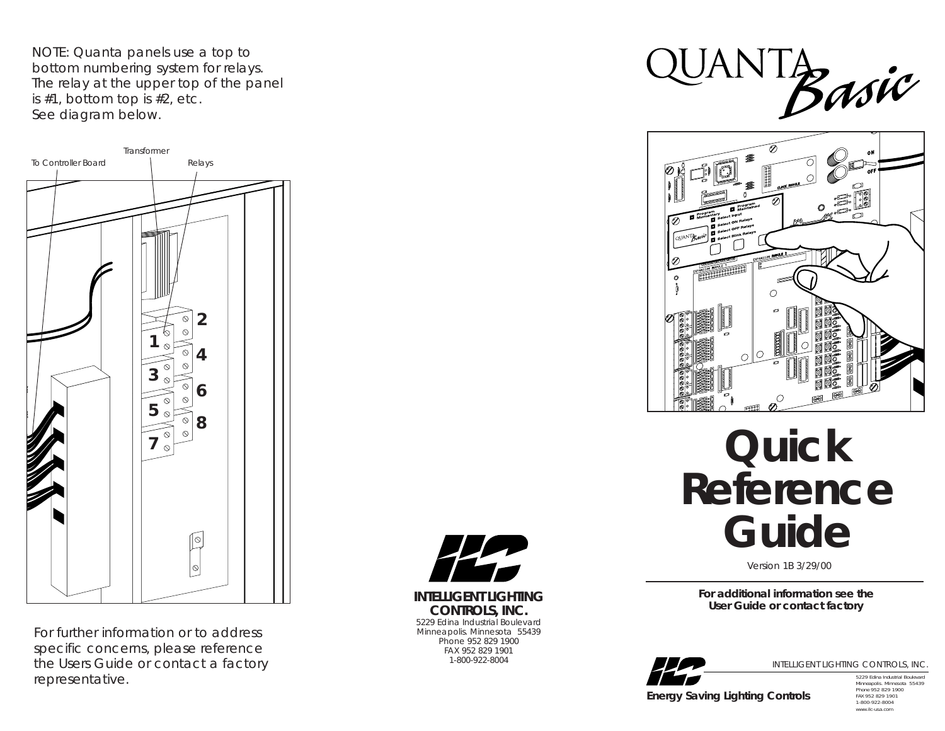NOTE: Quanta panels use a top to bottom numbering system for relays. The relay at the upper top of the panel is #1, bottom top is #2, etc. See diagram below.



*For further information or to address specific concerns, please reference the Users Guide or contact a factory representative.*



**INTELLIGENT LIGHTING CONTROLS, INC.** 5229 Edina Industrial Boulevard Minneapolis. Minnesota 55439 Phone 952 829 1900 FAX 952 829 1901 1-800-922-8004





## **Quick Reference Guide**

Version 1B 3/29/00

**For additional information see the User Guide or contact factory**



INTELLIGENT LIGHTING CONTROLS, INC.

*Energy Saving Lighting Controls*

5229 Edina Industrial Boulevard Minneapolis. Minnesota 55439 Phone 952 829 1900 FAX 952 829 1901 1-800-922-8004 www.ilc-usa.com